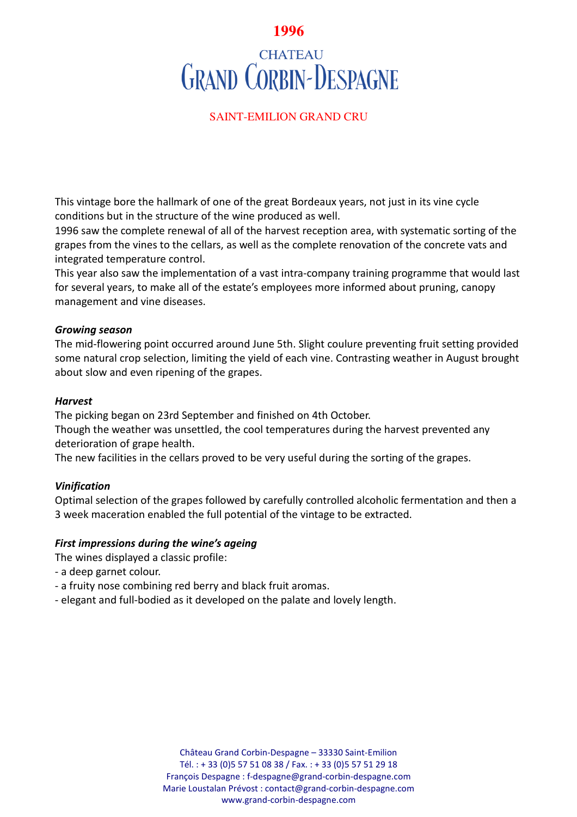# **1996**

# **CHATEAU GRAND CORBIN-DESPAGNE**

# SAINT-EMILION GRAND CRU

This vintage bore the hallmark of one of the great Bordeaux years, not just in its vine cycle conditions but in the structure of the wine produced as well.

1996 saw the complete renewal of all of the harvest reception area, with systematic sorting of the grapes from the vines to the cellars, as well as the complete renovation of the concrete vats and integrated temperature control.

This year also saw the implementation of a vast intra-company training programme that would last for several years, to make all of the estate's employees more informed about pruning, canopy management and vine diseases.

#### *Growing season*

The mid-flowering point occurred around June 5th. Slight coulure preventing fruit setting provided some natural crop selection, limiting the yield of each vine. Contrasting weather in August brought about slow and even ripening of the grapes.

#### *Harvest*

The picking began on 23rd September and finished on 4th October.

Though the weather was unsettled, the cool temperatures during the harvest prevented any deterioration of grape health.

The new facilities in the cellars proved to be very useful during the sorting of the grapes.

## *Vinification*

Optimal selection of the grapes followed by carefully controlled alcoholic fermentation and then a 3 week maceration enabled the full potential of the vintage to be extracted.

## *First impressions during the wine's ageing*

The wines displayed a classic profile:

- a deep garnet colour.
- a fruity nose combining red berry and black fruit aromas.
- elegant and full-bodied as it developed on the palate and lovely length.